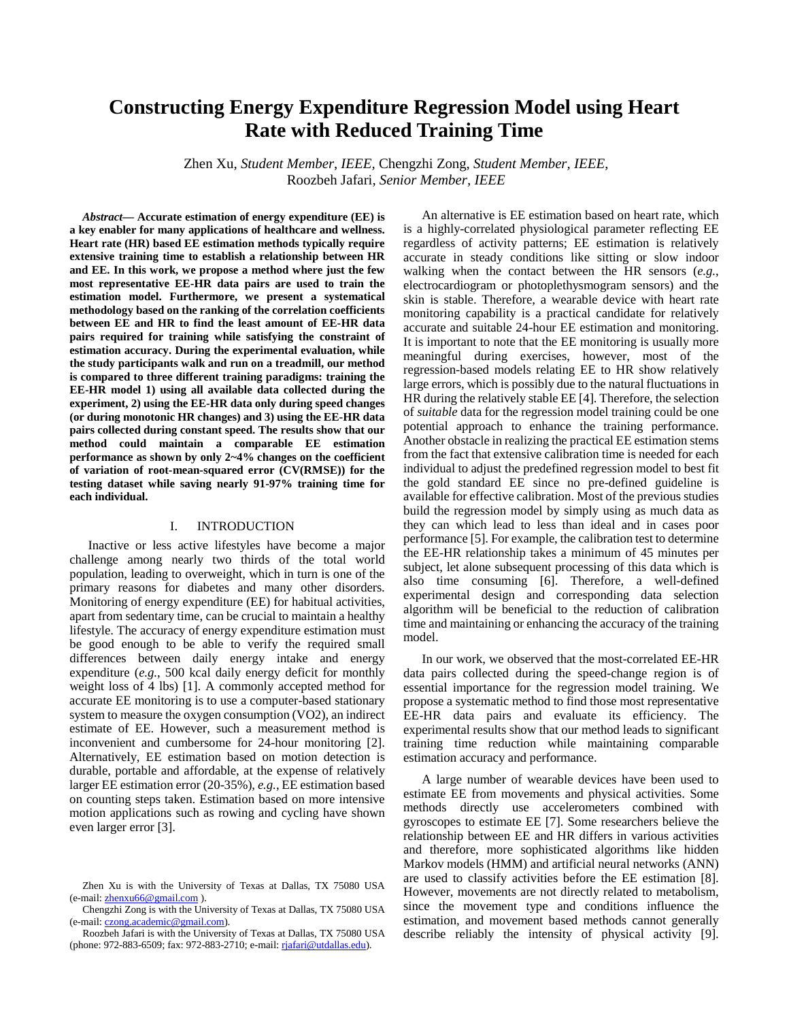# **Constructing Energy Expenditure Regression Model using Heart Rate with Reduced Training Time**

Zhen Xu, *Student Member*, *IEEE,* Chengzhi Zong, *Student Member, IEEE*, Roozbeh Jafari, *Senior Member, IEEE*

*Abstract***— Accurate estimation of energy expenditure (EE) is a key enabler for many applications of healthcare and wellness. Heart rate (HR) based EE estimation methods typically require extensive training time to establish a relationship between HR and EE. In this work, we propose a method where just the few most representative EE-HR data pairs are used to train the estimation model. Furthermore, we present a systematical methodology based on the ranking of the correlation coefficients between EE and HR to find the least amount of EE-HR data pairs required for training while satisfying the constraint of estimation accuracy. During the experimental evaluation, while the study participants walk and run on a treadmill, our method is compared to three different training paradigms: training the EE-HR model 1) using all available data collected during the experiment, 2) using the EE-HR data only during speed changes (or during monotonic HR changes) and 3) using the EE-HR data pairs collected during constant speed. The results show that our method could maintain a comparable EE estimation performance as shown by only 2~4% changes on the coefficient of variation of root-mean-squared error (CV(RMSE)) for the testing dataset while saving nearly 91-97% training time for each individual.**

# I. INTRODUCTION

Inactive or less active lifestyles have become a major challenge among nearly two thirds of the total world population, leading to overweight, which in turn is one of the primary reasons for diabetes and many other disorders. Monitoring of energy expenditure (EE) for habitual activities, apart from sedentary time, can be crucial to maintain a healthy lifestyle. The accuracy of energy expenditure estimation must be good enough to be able to verify the required small differences between daily energy intake and energy expenditure (*e.g.*, 500 kcal daily energy deficit for monthly weight loss of 4 lbs) [1]. A commonly accepted method for accurate EE monitoring is to use a computer-based stationary system to measure the oxygen consumption (VO2), an indirect estimate of EE. However, such a measurement method is inconvenient and cumbersome for 24-hour monitoring [2]. Alternatively, EE estimation based on motion detection is durable, portable and affordable, at the expense of relatively larger EE estimation error (20-35%), *e.g.*, EE estimation based on counting steps taken. Estimation based on more intensive motion applications such as rowing and cycling have shown even larger error [3].

An alternative is EE estimation based on heart rate, which is a highly-correlated physiological parameter reflecting EE regardless of activity patterns; EE estimation is relatively accurate in steady conditions like sitting or slow indoor walking when the contact between the HR sensors (*e.g.*, electrocardiogram or photoplethysmogram sensors) and the skin is stable. Therefore, a wearable device with heart rate monitoring capability is a practical candidate for relatively accurate and suitable 24-hour EE estimation and monitoring. It is important to note that the EE monitoring is usually more meaningful during exercises, however, most of the regression-based models relating EE to HR show relatively large errors, which is possibly due to the natural fluctuations in HR during the relatively stable EE [4]. Therefore, the selection of *suitable* data for the regression model training could be one potential approach to enhance the training performance. Another obstacle in realizing the practical EE estimation stems from the fact that extensive calibration time is needed for each individual to adjust the predefined regression model to best fit the gold standard EE since no pre-defined guideline is available for effective calibration. Most of the previous studies build the regression model by simply using as much data as they can which lead to less than ideal and in cases poor performance [5]. For example, the calibration test to determine the EE-HR relationship takes a minimum of 45 minutes per subject, let alone subsequent processing of this data which is also time consuming [6]. Therefore, a well-defined experimental design and corresponding data selection algorithm will be beneficial to the reduction of calibration time and maintaining or enhancing the accuracy of the training model.

In our work, we observed that the most-correlated EE-HR data pairs collected during the speed-change region is of essential importance for the regression model training. We propose a systematic method to find those most representative EE-HR data pairs and evaluate its efficiency. The experimental results show that our method leads to significant training time reduction while maintaining comparable estimation accuracy and performance.

A large number of wearable devices have been used to estimate EE from movements and physical activities. Some methods directly use accelerometers combined with gyroscopes to estimate EE [7]. Some researchers believe the relationship between EE and HR differs in various activities and therefore, more sophisticated algorithms like hidden Markov models (HMM) and artificial neural networks (ANN) are used to classify activities before the EE estimation [8]. However, movements are not directly related to metabolism, since the movement type and conditions influence the estimation, and movement based methods cannot generally describe reliably the intensity of physical activity [9].

Zhen Xu is with the University of Texas at Dallas, TX 75080 USA (e-mail[: zhenxu66@gmail.com](mailto:zhenxu66@gmail.com) ).

Chengzhi Zong is with the University of Texas at Dallas, TX 75080 USA (e-mail[: czong.academic@gmail.com\)](mailto:czong.academic@gmail.com).

Roozbeh Jafari is with the University of Texas at Dallas, TX 75080 USA (phone: 972-883-6509; fax: 972-883-2710; e-mail[: rjafari@utdallas.edu\)](mailto:rjafari@utdallas.edu).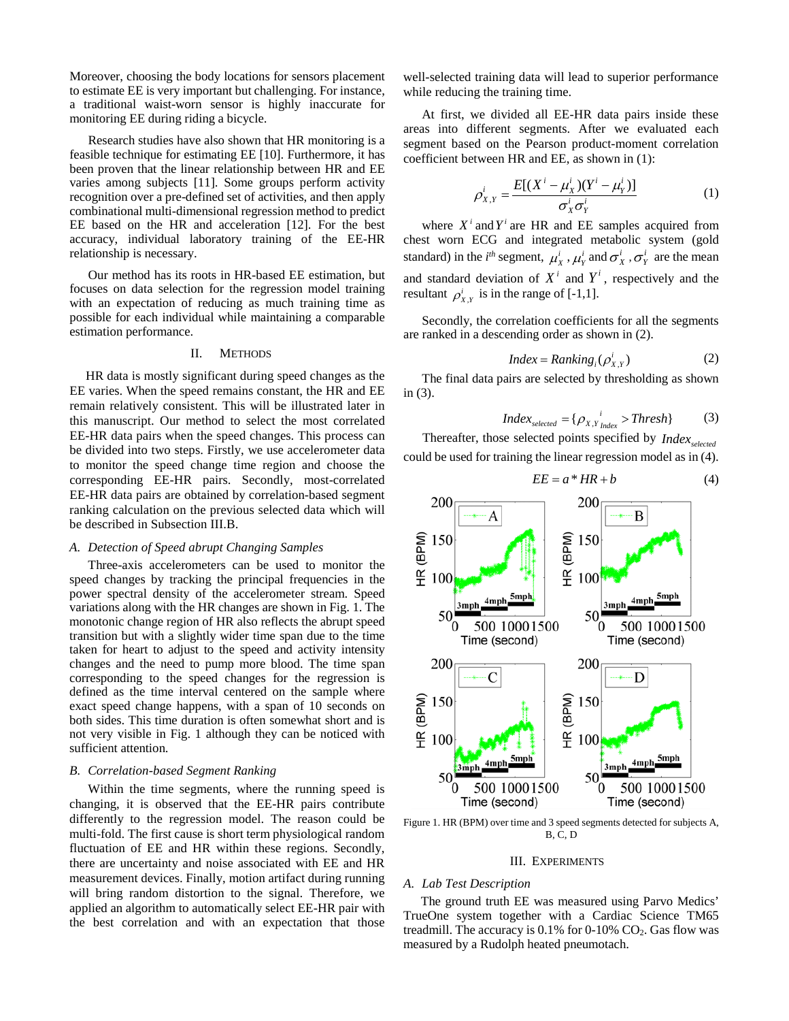Moreover, choosing the body locations for sensors placement to estimate EE is very important but challenging. For instance, a traditional waist-worn sensor is highly inaccurate for monitoring EE during riding a bicycle.

Research studies have also shown that HR monitoring is a feasible technique for estimating EE [10]. Furthermore, it has been proven that the linear relationship between HR and EE varies among subjects [11]. Some groups perform activity recognition over a pre-defined set of activities, and then apply combinational multi-dimensional regression method to predict EE based on the HR and acceleration [12]. For the best accuracy, individual laboratory training of the EE-HR relationship is necessary.

Our method has its roots in HR-based EE estimation, but focuses on data selection for the regression model training with an expectation of reducing as much training time as possible for each individual while maintaining a comparable estimation performance.

## II. METHODS

 HR data is mostly significant during speed changes as the EE varies. When the speed remains constant, the HR and EE remain relatively consistent. This will be illustrated later in this manuscript. Our method to select the most correlated EE-HR data pairs when the speed changes. This process can be divided into two steps. Firstly, we use accelerometer data to monitor the speed change time region and choose the corresponding EE-HR pairs. Secondly, most-correlated EE-HR data pairs are obtained by correlation-based segment ranking calculation on the previous selected data which will be described in Subsection III.B.

## *A. Detection of Speed abrupt Changing Samples*

Three-axis accelerometers can be used to monitor the speed changes by tracking the principal frequencies in the power spectral density of the accelerometer stream. Speed variations along with the HR changes are shown in Fig. 1. The monotonic change region of HR also reflects the abrupt speed transition but with a slightly wider time span due to the time taken for heart to adjust to the speed and activity intensity changes and the need to pump more blood. The time span corresponding to the speed changes for the regression is defined as the time interval centered on the sample where exact speed change happens, with a span of 10 seconds on both sides. This time duration is often somewhat short and is not very visible in Fig. 1 although they can be noticed with sufficient attention.

#### *B. Correlation-based Segment Ranking*

Within the time segments, where the running speed is changing, it is observed that the EE-HR pairs contribute differently to the regression model. The reason could be multi-fold. The first cause is short term physiological random fluctuation of EE and HR within these regions. Secondly, there are uncertainty and noise associated with EE and HR measurement devices. Finally, motion artifact during running will bring random distortion to the signal. Therefore, we applied an algorithm to automatically select EE-HR pair with the best correlation and with an expectation that those

well-selected training data will lead to superior performance while reducing the training time.

At first, we divided all EE-HR data pairs inside these areas into different segments. After we evaluated each segment based on the Pearson product-moment correlation coefficient between HR and EE, as shown in (1):

$$
\rho_{X,Y}^i = \frac{E[(X^i - \mu_X^i)(Y^i - \mu_Y^i)]}{\sigma_X^i \sigma_Y^i}
$$
(1)

where  $X^i$  and  $Y^i$  are HR and EE samples acquired from chest worn ECG and integrated metabolic system (gold standard) in the *i*<sup>th</sup> segment,  $\mu_X^i$ ,  $\mu_Y^i$  and  $\sigma_X^i$ ,  $\sigma_Y^i$  are the mean and standard deviation of  $X^i$  and  $Y^i$ , respectively and the resultant  $\rho_{X,Y}^i$  is in the range of [-1,1].

Secondly, the correlation coefficients for all the segments are ranked in a descending order as shown in (2).

$$
Index = Rankingi(\rho_{X,Y}^{i})
$$
 (2)

The final data pairs are selected by thresholding as shown in (3).

$$
Index_{selected} = {\rho_{X,Y}}_{Index}^{i} > Threshold \qquad (3)
$$

Thereafter, those selected points specified by *Index*<sub>selected</sub> could be used for training the linear regression model as in (4).



Figure 1. HR (BPM) over time and 3 speed segments detected for subjects A, B, C, D

# III. EXPERIMENTS

#### *A. Lab Test Description*

The ground truth EE was measured using Parvo Medics' TrueOne system together with a Cardiac Science TM65 treadmill. The accuracy is  $0.1\%$  for  $0-10\%$  CO<sub>2</sub>. Gas flow was measured by a Rudolph heated pneumotach.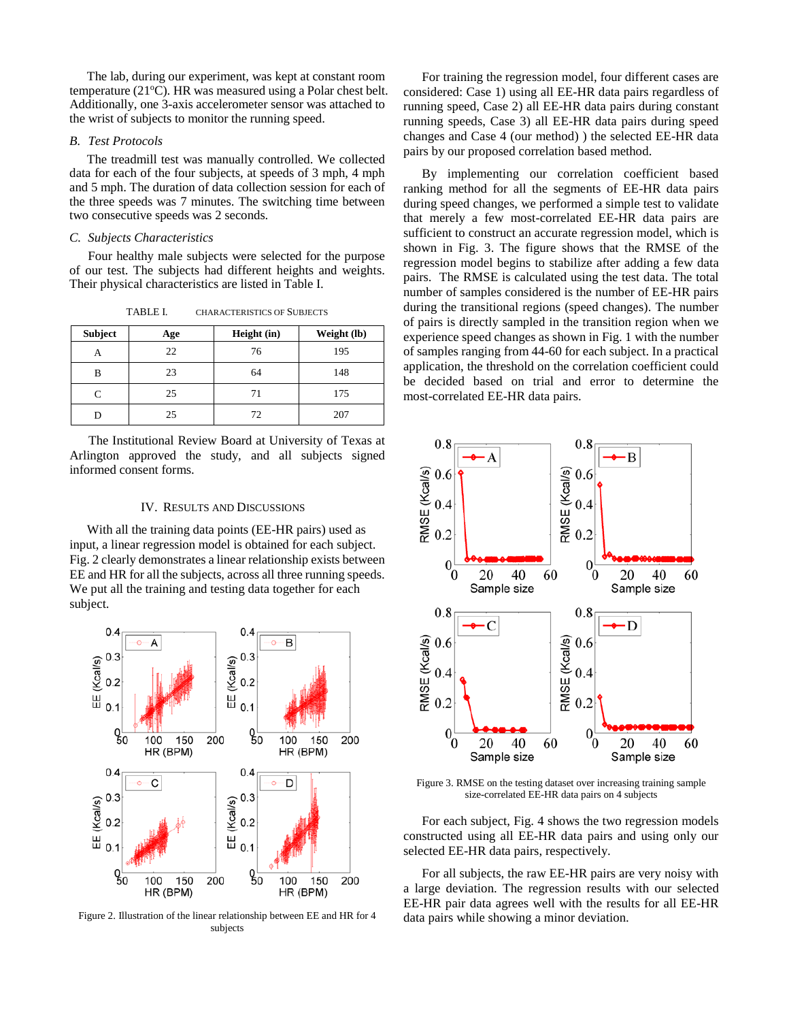The lab, during our experiment, was kept at constant room temperature (21°C). HR was measured using a Polar chest belt. Additionally, one 3-axis accelerometer sensor was attached to the wrist of subjects to monitor the running speed.

## *B. Test Protocols*

The treadmill test was manually controlled. We collected data for each of the four subjects, at speeds of 3 mph, 4 mph and 5 mph. The duration of data collection session for each of the three speeds was 7 minutes. The switching time between two consecutive speeds was 2 seconds.

## *C. Subjects Characteristics*

Four healthy male subjects were selected for the purpose of our test. The subjects had different heights and weights. Their physical characteristics are listed in Table I.

| <b>Subject</b> | Age | Height (in) | Weight (lb) |  |
|----------------|-----|-------------|-------------|--|
|                | 22  | 76          | 195         |  |
| В              | 23  | 64          | 148         |  |
| ⊂              | 25  | 71          | 175         |  |
|                | 25  | 72          | 207         |  |

TABLE I. CHARACTERISTICS OF SUBJECTS

 The Institutional Review Board at University of Texas at Arlington approved the study, and all subjects signed informed consent forms.

#### IV. RESULTS AND DISCUSSIONS

With all the training data points (EE-HR pairs) used as input, a linear regression model is obtained for each subject. Fig. 2 clearly demonstrates a linear relationship exists between EE and HR for all the subjects, across all three running speeds. We put all the training and testing data together for each subject.



Figure 2. Illustration of the linear relationship between EE and HR for 4 subjects

For training the regression model, four different cases are considered: Case 1) using all EE-HR data pairs regardless of running speed, Case 2) all EE-HR data pairs during constant running speeds, Case 3) all EE-HR data pairs during speed changes and Case 4 (our method) ) the selected EE-HR data pairs by our proposed correlation based method.

By implementing our correlation coefficient based ranking method for all the segments of EE-HR data pairs during speed changes, we performed a simple test to validate that merely a few most-correlated EE-HR data pairs are sufficient to construct an accurate regression model, which is shown in Fig. 3. The figure shows that the RMSE of the regression model begins to stabilize after adding a few data pairs. The RMSE is calculated using the test data. The total number of samples considered is the number of EE-HR pairs during the transitional regions (speed changes). The number of pairs is directly sampled in the transition region when we experience speed changes as shown in Fig. 1 with the number of samples ranging from 44-60 for each subject. In a practical application, the threshold on the correlation coefficient could be decided based on trial and error to determine the most-correlated EE-HR data pairs.



Figure 3. RMSE on the testing dataset over increasing training sample size-correlated EE-HR data pairs on 4 subjects

For each subject, Fig. 4 shows the two regression models constructed using all EE-HR data pairs and using only our selected EE-HR data pairs, respectively.

For all subjects, the raw EE-HR pairs are very noisy with a large deviation. The regression results with our selected EE-HR pair data agrees well with the results for all EE-HR data pairs while showing a minor deviation.